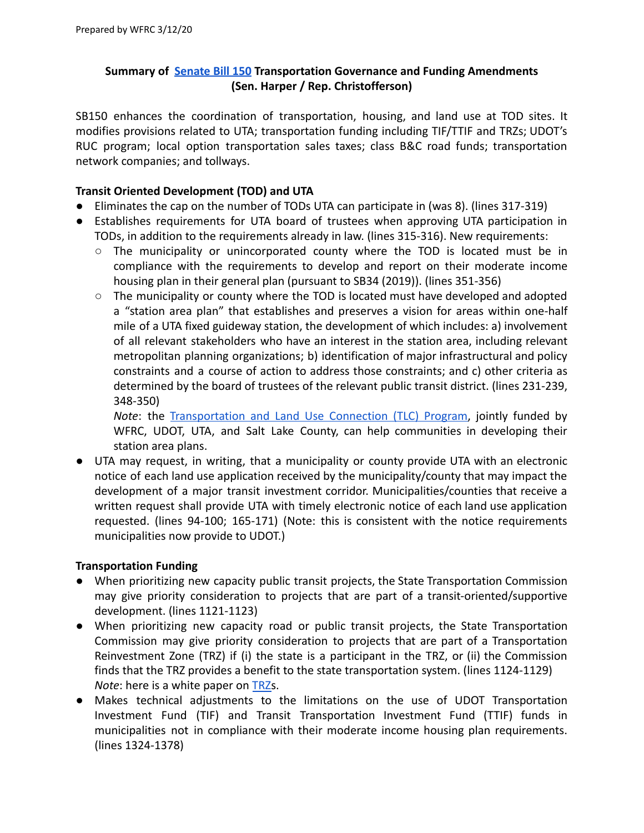# **Summary of [Senate Bill 150](https://le.utah.gov/~2020/bills/sbillint/SB0150S02.pdf) Transportation Governance and Funding Amendments (Sen. Harper / Rep. Christofferson)**

SB150 enhances the coordination of transportation, housing, and land use at TOD sites. It modifies provisions related to UTA; transportation funding including TIF/TTIF and TRZs; UDOT's RUC program; local option transportation sales taxes; class B&C road funds; transportation network companies; and tollways.

### **Transit Oriented Development (TOD) and UTA**

- Eliminates the cap on the number of TODs UTA can participate in (was 8). (lines 317-319)
- Establishes requirements for UTA board of trustees when approving UTA participation in TODs, in addition to the requirements already in law. (lines 315-316). New requirements:
	- The municipality or unincorporated county where the TOD is located must be in compliance with the requirements to develop and report on their moderate income housing plan in their general plan (pursuant to SB34 (2019)). (lines 351-356)
	- $\circ$  The municipality or county where the TOD is located must have developed and adopted a "station area plan" that establishes and preserves a vision for areas within one-half mile of a UTA fixed guideway station, the development of which includes: a) involvement of all relevant stakeholders who have an interest in the station area, including relevant metropolitan planning organizations; b) identification of major infrastructural and policy constraints and a course of action to address those constraints; and c) other criteria as determined by the board of trustees of the relevant public transit district. (lines 231-239, 348-350)

*Note*: the [Transportation](https://wfrc.org/programs/transportation-land-use-connection/) and Land Use Connection (TLC) Program, jointly funded by WFRC, UDOT, UTA, and Salt Lake County, can help communities in developing their station area plans.

● UTA may request, in writing, that a municipality or county provide UTA with an electronic notice of each land use application received by the municipality/county that may impact the development of a major transit investment corridor. Municipalities/counties that receive a written request shall provide UTA with timely electronic notice of each land use application requested. (lines 94-100; 165-171) (Note: this is consistent with the notice requirements municipalities now provide to UDOT.)

### **Transportation Funding**

- When prioritizing new capacity public transit projects, the State Transportation Commission may give priority consideration to projects that are part of a transit-oriented/supportive development. (lines 1121-1123)
- When prioritizing new capacity road or public transit projects, the State Transportation Commission may give priority consideration to projects that are part of a Transportation Reinvestment Zone (TRZ) if (i) the state is a participant in the TRZ, or (ii) the Commission finds that the TRZ provides a benefit to the state transportation system. (lines 1124-1129) *Note*: here is a white paper on [TRZs](https://wfrc.org/PublicInvolvement/GovernmentalAffairs/SB136/TRZWhitePaperFinal.pdf).
- Makes technical adjustments to the limitations on the use of UDOT Transportation Investment Fund (TIF) and Transit Transportation Investment Fund (TTIF) funds in municipalities not in compliance with their moderate income housing plan requirements. (lines 1324-1378)